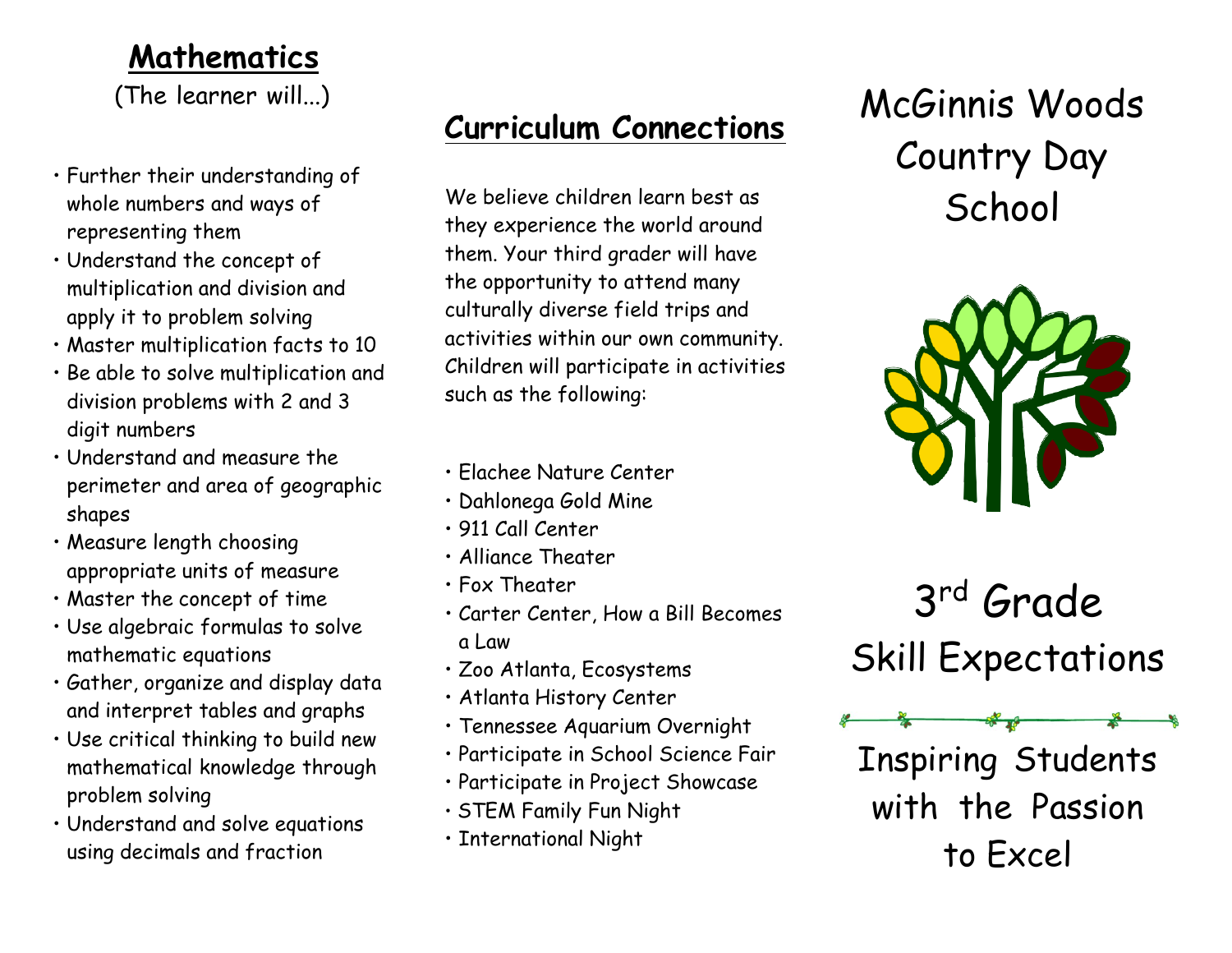#### **Mathematics**

(The learner will...)

- Further their understanding of whole numbers and ways of representing them
- Understand the concept of multiplication and division and apply it to problem solving
- Master multiplication facts to 10
- Be able to solve multiplication and division problems with 2 and 3 digit numbers
- Understand and measure the perimeter and area of geographic shapes
- Measure length choosing appropriate units of measure
- Master the concept of time
- Use algebraic formulas to solve mathematic equations
- Gather, organize and display data and interpret tables and graphs
- Use critical thinking to build new mathematical knowledge through problem solving
- Understand and solve equations using decimals and fraction

### **Curriculum Connections**

We believe children learn best as they experience the world around them. Your third grader will have the opportunity to attend many culturally diverse field trips and activities within our own community. Children will participate in activities such as the following:

- Elachee Nature Center
- Dahlonega Gold Mine
- 911 Call Center
- Alliance Theater
- Fox Theater
- Carter Center, How a Bill Becomes a Law
- Zoo Atlanta, Ecosystems
- Atlanta History Center
- Tennessee Aquarium Overnight
- Participate in School Science Fair
- Participate in Project Showcase
- STEM Family Fun Night
- International Night

## McGinnis Woods Country Day **School**



3rd Grade Skill Expectations

Inspiring Students with the Passion to Excel